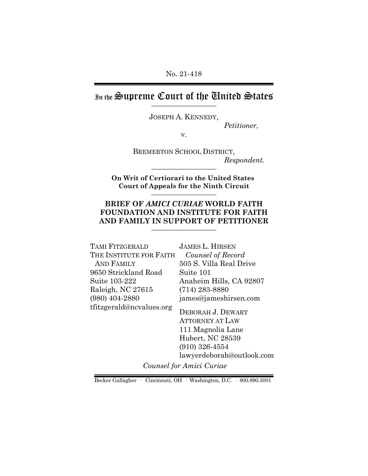No. 21-418

In the Supreme Court of the United States

JOSEPH A. KENNEDY,

*Petitioner*,

v.

BREMERTON SCHOOL DISTRICT,  $Respondent.$ 

**On Writ of Certiorari to the United States Court of Appeals for the Ninth Circuit** \_\_\_\_\_\_\_\_\_\_\_\_\_\_\_\_\_\_

# **BRIEF OF** *AMICI CURIAE* **WORLD FAITH FOUNDATION AND INSTITUTE FOR FAITH** AND FAMILY IN SUPPORT OF PETITIONER

| TAMI FITZGERALD          | <b>JAMES L. HIRSEN</b>                                                                                   |
|--------------------------|----------------------------------------------------------------------------------------------------------|
| THE INSTITUTE FOR FAITH  | Counsel of Record                                                                                        |
| AND FAMILY               | 505 S. Villa Real Drive                                                                                  |
| 9650 Strickland Road     | Suite 101                                                                                                |
| Suite 103-222            | Anaheim Hills, CA 92807                                                                                  |
| Raleigh, NC 27615        | $(714)$ 283-8880                                                                                         |
| $(980)$ 404-2880         | james@jameshirsen.com                                                                                    |
| tfitzgerald@ncvalues.org | DEBORAH J. DEWART<br><b>ATTORNEY AT LAW</b><br>111 Magnolia Lane<br>Hubert, NC 28539<br>$(910)$ 326-4554 |

lawyerdeborah@outlook.com

*Counsel for Amici Curiae*

Becker Gallagher · Cincinnati, OH · Washington, D.C. · 800.890.5001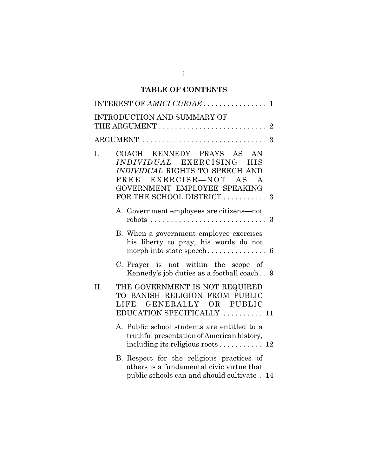# **TABLE OF CONTENTS**

|     | INTRODUCTION AND SUMMARY OF                                                                                                                                                                                            |
|-----|------------------------------------------------------------------------------------------------------------------------------------------------------------------------------------------------------------------------|
|     |                                                                                                                                                                                                                        |
| I.  | COACH KENNEDY PRAYS AS<br>AN<br><i>INDIVIDUAL</i> EXERCISING<br><b>HIS</b><br>INDIVIDUAL RIGHTS TO SPEECH AND<br>EXERCISE-NOT AS<br>FREE<br>$\mathbf{A}$<br>GOVERNMENT EMPLOYEE SPEAKING<br>FOR THE SCHOOL DISTRICT  3 |
|     | A. Government employees are citizens-not                                                                                                                                                                               |
|     | B. When a government employee exercises<br>his liberty to pray, his words do not                                                                                                                                       |
|     | C. Prayer is not within the scope of<br>Kennedy's job duties as a football coach 9                                                                                                                                     |
| II. | THE GOVERNMENT IS NOT REQUIRED<br>TO BANISH RELIGION FROM PUBLIC<br>GENERALLY OR PUBLIC<br>LIFE<br>EDUCATION SPECIFICALLY  11                                                                                          |
|     | A. Public school students are entitled to a<br>truthful presentation of American history,<br>including its religious roots 12                                                                                          |
|     | B. Respect for the religious practices of<br>others is a fundamental civic virtue that<br>public schools can and should cultivate. 14                                                                                  |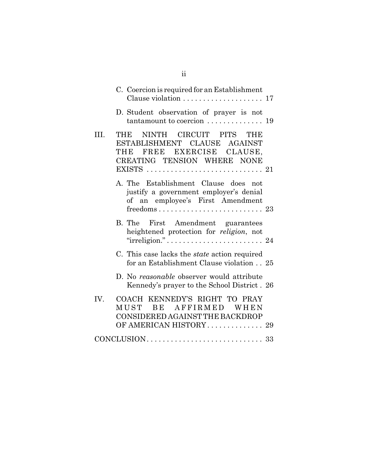|      | C. Coercion is required for an Establishment<br>Clause violation  17                                                                                                                          |
|------|-----------------------------------------------------------------------------------------------------------------------------------------------------------------------------------------------|
|      | D. Student observation of prayer is not<br>tantamount to coercion  19                                                                                                                         |
| III. | THE NINTH CIRCUIT PITS THE<br>ESTABLISHMENT CLAUSE AGAINST<br>THE FREE EXERCISE CLAUSE,<br>CREATING TENSION WHERE NONE<br>EXISTS $\ldots \ldots \ldots \ldots \ldots \ldots \ldots \ldots 21$ |
|      | A. The Establishment Clause does not<br>justify a government employer's denial<br>of an employee's First Amendment<br>$freedoms \ldots \ldots \ldots \ldots \ldots \ldots \ldots 23$          |
|      | B. The First Amendment guarantees<br>heightened protection for religion, not                                                                                                                  |
|      | C. This case lacks the <i>state</i> action required<br>for an Establishment Clause violation 25                                                                                               |
|      | D. No reasonable observer would attribute<br>Kennedy's prayer to the School District. 26                                                                                                      |
| IV.  | COACH KENNEDY'S RIGHT TO PRAY<br>BE AFFIRMED WHEN<br>MUST<br>CONSIDERED AGAINST THE BACKDROP<br>OF AMERICAN HISTORY 29                                                                        |
|      |                                                                                                                                                                                               |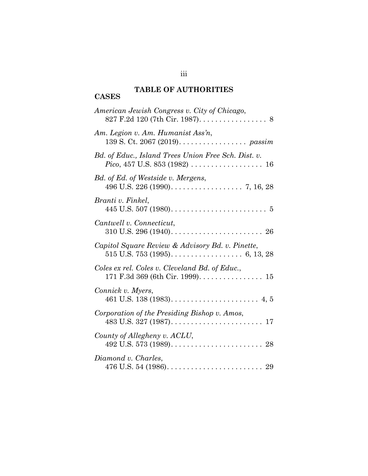### **TABLE OF AUTHORITIES CASES**

| American Jewish Congress v. City of Chicago,<br>827 F.2d 120 (7th Cir. 1987). 8             |
|---------------------------------------------------------------------------------------------|
| Am. Legion v. Am. Humanist Ass'n,<br>139 S. Ct. 2067 (2019). passim                         |
| Bd. of Educ., Island Trees Union Free Sch. Dist. v.<br><i>Pico</i> , 457 U.S. 853 (1982) 16 |
| Bd. of Ed. of Westside v. Mergens,                                                          |
| Branti v. Finkel,                                                                           |
| Cantwell v. Connecticut,                                                                    |
| Capitol Square Review & Advisory Bd. v. Pinette,                                            |
| Coles ex rel. Coles v. Cleveland Bd. of Educ.,                                              |
| Connick v. Myers,                                                                           |
| Corporation of the Presiding Bishop v. Amos,                                                |
| County of Allegheny v. ACLU,                                                                |
| Diamond v. Charles,                                                                         |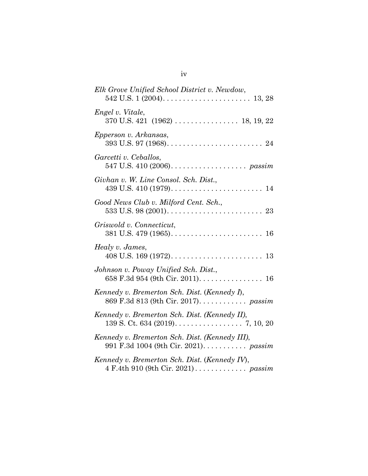| Elk Grove Unified School District v. Newdow,                                                                   |
|----------------------------------------------------------------------------------------------------------------|
| Engel v. Vitale,                                                                                               |
| Epperson v. Arkansas,                                                                                          |
| Garcetti v. Ceballos,<br>547 U.S. 410 (2006). $\ldots \ldots \ldots \ldots \ldots$ passim                      |
| Givhan v. W. Line Consol. Sch. Dist.,                                                                          |
| Good News Club v. Milford Cent. Sch.,                                                                          |
| Griswold v. Connecticut,                                                                                       |
| Healy v. James,                                                                                                |
| Johnson v. Poway Unified Sch. Dist.,<br>658 F.3d 954 (9th Cir. 2011). $\dots \dots \dots \dots \dots \dots$ 16 |
| Kennedy v. Bremerton Sch. Dist. (Kennedy I),                                                                   |
| Kennedy v. Bremerton Sch. Dist. (Kennedy II),                                                                  |
| Kennedy v. Bremerton Sch. Dist. (Kennedy III),                                                                 |
| Kennedy v. Bremerton Sch. Dist. (Kennedy IV),                                                                  |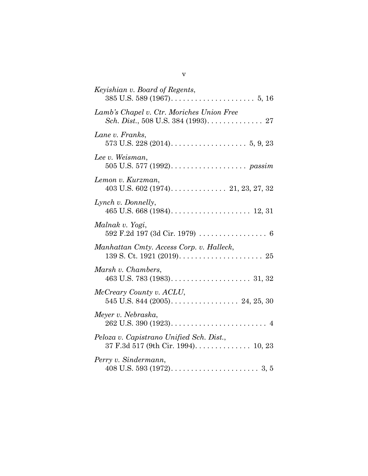v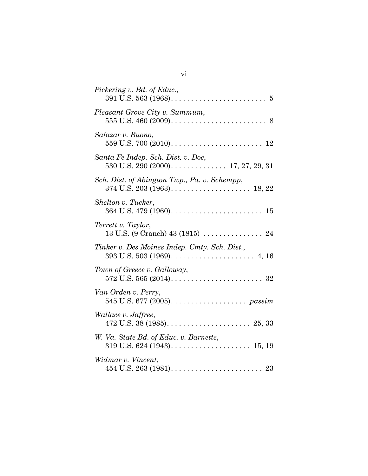| Pickering v. Bd. of Educ.,                                                                             |
|--------------------------------------------------------------------------------------------------------|
| Pleasant Grove City v. Summum,                                                                         |
| Salazar v. Buono,<br>559 U.S. 700 (2010). $\ldots \ldots \ldots \ldots \ldots \ldots \ldots \ldots 12$ |
| Santa Fe Indep. Sch. Dist. v. Doe,                                                                     |
| Sch. Dist. of Abington Twp., Pa. v. Schempp,                                                           |
| Shelton v. Tucker,                                                                                     |
| Terrett v. Taylor,                                                                                     |
| Tinker v. Des Moines Indep. Cmty. Sch. Dist.,                                                          |
| Town of Greece v. Galloway,                                                                            |
| Van Orden v. Perry,                                                                                    |
| Wallace v. Jaffree,                                                                                    |
| W. Va. State Bd. of Educ. v. Barnette,                                                                 |
| Widmar v. Vincent,                                                                                     |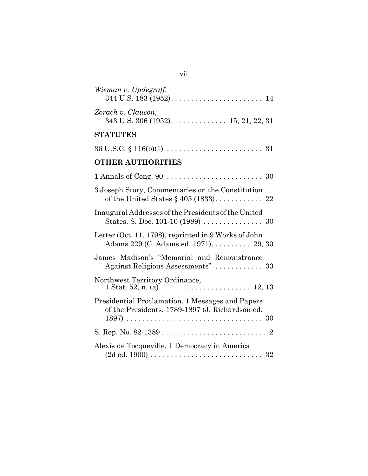| m. | o m |  |
|----|-----|--|
|    |     |  |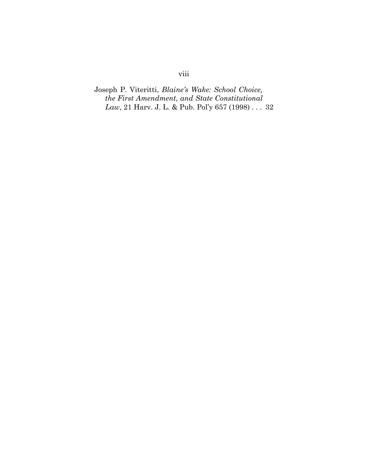# Joseph P. Viteritti, *Blaine's Wake: School Choice, the First Amendment, and State Constitutional Law*, 21 Harv. J. L. & Pub. Pol'y 657 (1998) . . . 32

# viii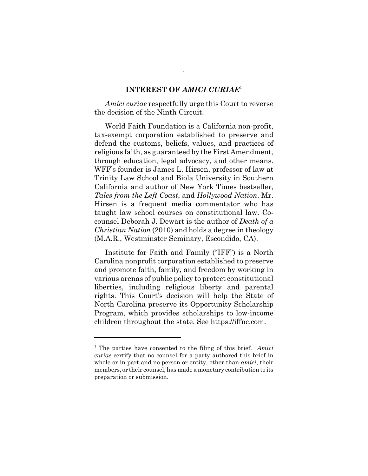#### **INTEREST OF** *AMICI CURIAE*<sup>1</sup>

*Amici curiae* respectfully urge this Court to reverse the decision of the Ninth Circuit.

World Faith Foundation is a California non-profit, tax-exempt corporation established to preserve and defend the customs, beliefs, values, and practices of religious faith, as guaranteed by the First Amendment, through education, legal advocacy, and other means. WFF's founder is James L. Hirsen, professor of law at Trinity Law School and Biola University in Southern California and author of New York Times bestseller, *Tales from the Left Coast*, and *Hollywood Nation*. Mr. Hirsen is a frequent media commentator who has taught law school courses on constitutional law. Cocounsel Deborah J. Dewart is the author of *Death of a Christian Nation* (2010) and holds a degree in theology (M.A.R., Westminster Seminary, Escondido, CA).

Institute for Faith and Family ("IFF") is a North Carolina nonprofit corporation established to preserve and promote faith, family, and freedom by working in various arenas of public policy to protect constitutional liberties, including religious liberty and parental rights. This Court's decision will help the State of North Carolina preserve its Opportunity Scholarship Program, which provides scholarships to low-income children throughout the state. See https://iffnc.com.

<sup>1</sup> The parties have consented to the filing of this brief. *Amici curiae* certify that no counsel for a party authored this brief in whole or in part and no person or entity, other than *amici*, their members, or their counsel, has made a monetary contribution to its preparation or submission.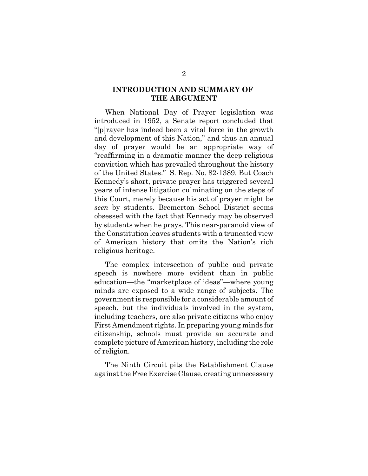## **INTRODUCTION AND SUMMARY OF THE ARGUMENT**

When National Day of Prayer legislation was introduced in 1952, a Senate report concluded that "[p]rayer has indeed been a vital force in the growth and development of this Nation," and thus an annual day of prayer would be an appropriate way of "reaffirming in a dramatic manner the deep religious conviction which has prevailed throughout the history of the United States." S. Rep. No. 82-1389. But Coach Kennedy's short, private prayer has triggered several years of intense litigation culminating on the steps of this Court, merely because his act of prayer might be *seen* by students. Bremerton School District seems obsessed with the fact that Kennedy may be observed by students when he prays. This near-paranoid view of the Constitution leaves students with a truncated view of American history that omits the Nation's rich religious heritage.

The complex intersection of public and private speech is nowhere more evident than in public education—the "marketplace of ideas"—where young minds are exposed to a wide range of subjects. The government is responsible for a considerable amount of speech, but the individuals involved in the system, including teachers, are also private citizens who enjoy First Amendment rights. In preparing young minds for citizenship, schools must provide an accurate and complete picture of American history, including the role of religion.

The Ninth Circuit pits the Establishment Clause against the Free Exercise Clause, creating unnecessary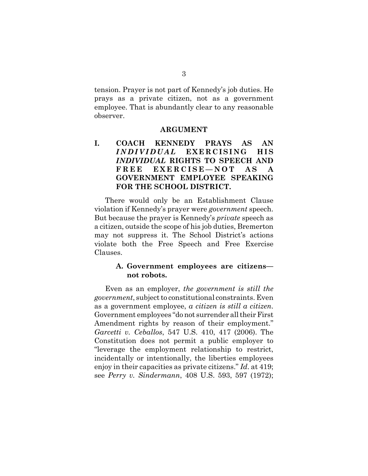tension. Prayer is not part of Kennedy's job duties. He prays as a private citizen, not as a government employee. That is abundantly clear to any reasonable observer.

#### **ARGUMENT**

# **I. COACH KENNEDY PRAYS AS AN** *INDIVIDUAL* **EXERCISING HIS** *INDIVIDUAL* **RIGHTS TO SPEECH AND FREE EXERCISE—NOT AS A GOVERNMENT EMPLOYEE SPEAKING FOR THE SCHOOL DISTRICT.**

There would only be an Establishment Clause violation if Kennedy's prayer were *government* speech. But because the prayer is Kennedy's *private* speech as a citizen, outside the scope of his job duties, Bremerton may not suppress it. The School District's actions violate both the Free Speech and Free Exercise Clauses.

### **A. Government employees are citizens not robots.**

Even as an employer, *the government is still the government*, subject to constitutional constraints. Even as a government employee, *a citizen is still a citizen*. Government employees "do not surrender all their First Amendment rights by reason of their employment." *Garcetti v. Ceballos*, 547 U.S. 410, 417 (2006). The Constitution does not permit a public employer to "leverage the employment relationship to restrict, incidentally or intentionally, the liberties employees enjoy in their capacities as private citizens." *Id*. at 419; see *Perry v. Sindermann*, 408 U.S. 593, 597 (1972);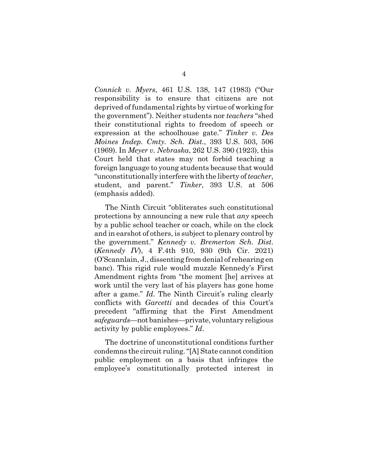*Connick v. Myers*, 461 U.S. 138, 147 (1983) ("Our responsibility is to ensure that citizens are not deprived of fundamental rights by virtue of working for the government"). Neither students nor *teachers* "shed their constitutional rights to freedom of speech or expression at the schoolhouse gate." *Tinker v. Des Moines Indep. Cmty. Sch. Dist.*, 393 U.S. 503, 506 (1969). In *Meyer v. Nebraska*, 262 U.S. 390 (1923), this Court held that states may not forbid teaching a foreign language to young students because that would "unconstitutionally interfere with the liberty of *teacher*, student, and parent." *Tinker*, 393 U.S. at 506 (emphasis added).

The Ninth Circuit "obliterates such constitutional protections by announcing a new rule that *any* speech by a public school teacher or coach, while on the clock and in earshot of others, is subject to plenary control by the government." *Kennedy v. Bremerton Sch. Dist*. (*Kennedy IV*), 4 F.4th 910, 930 (9th Cir. 2021) (O'Scannlain, J., dissenting from denial of rehearing en banc). This rigid rule would muzzle Kennedy's First Amendment rights from "the moment [he] arrives at work until the very last of his players has gone home after a game." *Id*. The Ninth Circuit's ruling clearly conflicts with *Garcetti* and decades of this Court's precedent "affirming that the First Amendment *safeguards*—not banishes—private, voluntary religious activity by public employees." *Id*.

The doctrine of unconstitutional conditions further condemns the circuit ruling. "[A] State cannot condition public employment on a basis that infringes the employee's constitutionally protected interest in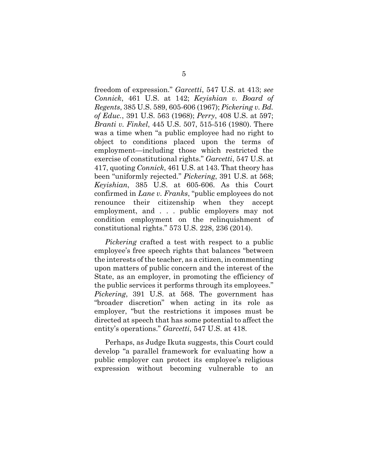freedom of expression." *Garcetti*, 547 U.S. at 413; *see Connick*, 461 U.S. at 142; *Keyishian v. Board of Regents*, 385 U.S. 589, 605-606 (1967); *Pickering v. Bd. of Educ.*, 391 U.S. 563 (1968); *Perry*, 408 U.S. at 597; *Branti v. Finkel*, 445 U.S. 507, 515-516 (1980). There was a time when "a public employee had no right to object to conditions placed upon the terms of employment—including those which restricted the exercise of constitutional rights." *Garcetti*, 547 U.S. at 417, quoting *Connick*, 461 U.S. at 143. That theory has been "uniformly rejected." *Pickering*, 391 U.S. at 568; *Keyishian*, 385 U.S. at 605-606. As this Court confirmed in *Lane v. Franks*, "public employees do not renounce their citizenship when they accept employment, and . . . public employers may not condition employment on the relinquishment of constitutional rights." 573 U.S. 228, 236 (2014).

*Pickering* crafted a test with respect to a public employee's free speech rights that balances "between the interests of the teacher, as a citizen, in commenting upon matters of public concern and the interest of the State, as an employer, in promoting the efficiency of the public services it performs through its employees." *Pickering*, 391 U.S. at 568. The government has "broader discretion" when acting in its role as employer, "but the restrictions it imposes must be directed at speech that has some potential to affect the entity's operations." *Garcetti*, 547 U.S. at 418.

Perhaps, as Judge Ikuta suggests, this Court could develop "a parallel framework for evaluating how a public employer can protect its employee's religious expression without becoming vulnerable to an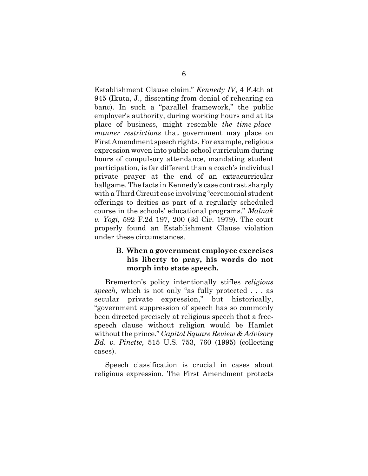Establishment Clause claim." *Kennedy IV*, 4 F.4th at 945 (Ikuta, J., dissenting from denial of rehearing en banc). In such a "parallel framework," the public employer's authority, during working hours and at its place of business, might resemble *the time-placemanner restrictions* that government may place on First Amendment speech rights. For example, religious expression woven into public-school curriculum during hours of compulsory attendance, mandating student participation, is far different than a coach's individual private prayer at the end of an extracurricular ballgame. The facts in Kennedy's case contrast sharply with a Third Circuit case involving "ceremonial student offerings to deities as part of a regularly scheduled course in the schools' educational programs." *Malnak v. Yogi*, 592 F.2d 197, 200 (3d Cir. 1979). The court properly found an Establishment Clause violation under these circumstances.

## **B. When a government employee exercises his liberty to pray, his words do not morph into state speech.**

Bremerton's policy intentionally stifles *religious speech*, which is not only "as fully protected . . . as secular private expression," but historically, "government suppression of speech has so commonly been directed precisely at religious speech that a freespeech clause without religion would be Hamlet without the prince." *Capitol Square Review & Advisory Bd. v. Pinette,* 515 U.S. 753, 760 (1995) (collecting cases).

Speech classification is crucial in cases about religious expression. The First Amendment protects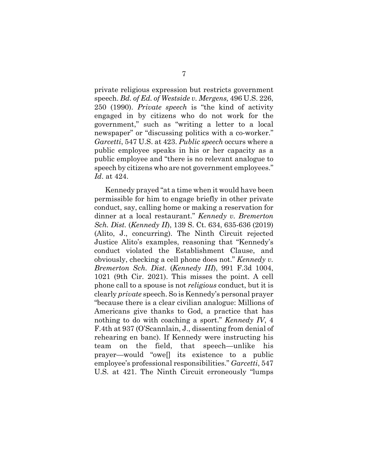private religious expression but restricts government speech. *Bd. of Ed. of Westside v. Mergens,* 496 U.S. 226, 250 (1990). *Private speech* is "the kind of activity engaged in by citizens who do not work for the government," such as "writing a letter to a local newspaper" or "discussing politics with a co-worker." *Garcetti*, 547 U.S. at 423. *Public speech* occurs where a public employee speaks in his or her capacity as a public employee and "there is no relevant analogue to speech by citizens who are not government employees." *Id*. at 424.

Kennedy prayed "at a time when it would have been permissible for him to engage briefly in other private conduct, say, calling home or making a reservation for dinner at a local restaurant." *Kennedy v. Bremerton Sch. Dist.* (*Kennedy II*), 139 S. Ct. 634, 635-636 (2019) (Alito, J., concurring). The Ninth Circuit rejected Justice Alito's examples, reasoning that "Kennedy's conduct violated the Establishment Clause, and obviously, checking a cell phone does not." *Kennedy v. Bremerton Sch. Dist*. (*Kennedy III*), 991 F.3d 1004, 1021 (9th Cir. 2021). This misses the point. A cell phone call to a spouse is not *religious* conduct, but it is clearly *private* speech. So is Kennedy's personal prayer "because there is a clear civilian analogue: Millions of Americans give thanks to God, a practice that has nothing to do with coaching a sport." *Kennedy IV*, 4 F.4th at 937 (O'Scannlain, J., dissenting from denial of rehearing en banc). If Kennedy were instructing his team on the field, that speech—unlike his prayer—would "owe[] its existence to a public employee's professional responsibilities." *Garcetti*, 547 U.S. at 421. The Ninth Circuit erroneously "lumps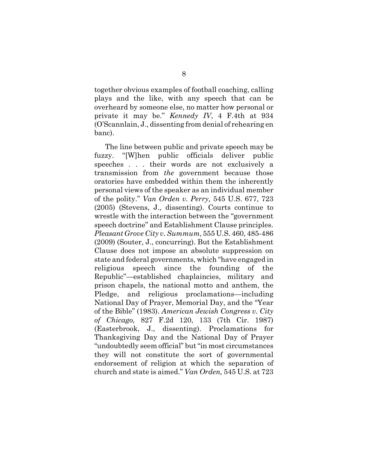together obvious examples of football coaching, calling plays and the like, with any speech that can be overheard by someone else, no matter how personal or private it may be." *Kennedy IV*, 4 F.4th at 934 (O'Scannlain, J., dissenting from denial of rehearing en banc).

The line between public and private speech may be fuzzy. "[W]hen public officials deliver public speeches . . . their words are not exclusively a transmission from *the* government because those oratories have embedded within them the inherently personal views of the speaker as an individual member of the polity." *Van Orden v. Perry,* 545 U.S. 677, 723 (2005) (Stevens, J., dissenting). Courts continue to wrestle with the interaction between the "government speech doctrine" and Establishment Clause principles. *Pleasant Grove City v. Summum*, 555 U.S. 460, 485-486 (2009) (Souter, J., concurring). But the Establishment Clause does not impose an absolute suppression on state and federal governments, which "have engaged in religious speech since the founding of the Republic"—established chaplaincies, military and prison chapels, the national motto and anthem, the Pledge, and religious proclamations—including National Day of Prayer, Memorial Day, and the "Year of the Bible" (1983). *American Jewish Congress v. City of Chicago,* 827 F.2d 120, 133 (7th Cir. 1987) (Easterbrook, J., dissenting). Proclamations for Thanksgiving Day and the National Day of Prayer "undoubtedly seem official" but "in most circumstances they will not constitute the sort of governmental endorsement of religion at which the separation of church and state is aimed." *Van Orden,* 545 U.S. at 723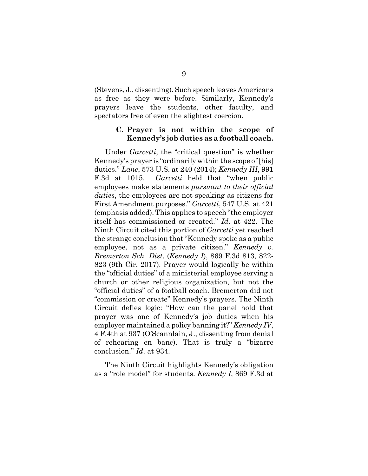(Stevens, J., dissenting). Such speech leaves Americans as free as they were before. Similarly, Kennedy's prayers leave the students, other faculty, and spectators free of even the slightest coercion.

### **C. Prayer is not within the scope of Kennedy's job duties as a football coach.**

Under *Garcetti*, the "critical question" is whether Kennedy's prayer is "ordinarily within the scope of [his] duties." *Lane*, 573 U.S. at 240 (2014); *Kennedy III*, 991 F.3d at 1015. *Garcetti* held that "when public employees make statements *pursuant to their official duties*, the employees are not speaking as citizens for First Amendment purposes." *Garcetti*, 547 U.S. at 421 (emphasis added). This applies to speech "the employer itself has commissioned or created." *Id*. at 422. The Ninth Circuit cited this portion of *Garcetti* yet reached the strange conclusion that "Kennedy spoke as a public employee, not as a private citizen." *Kennedy v. Bremerton Sch. Dist*. (*Kennedy I*), 869 F.3d 813, 822- 823 (9th Cir. 2017). Prayer would logically be within the "official duties" of a ministerial employee serving a church or other religious organization, but not the "official duties" of a football coach. Bremerton did not "commission or create" Kennedy's prayers. The Ninth Circuit defies logic: "How can the panel hold that prayer was one of Kennedy's job duties when his employer maintained a policy banning it?" *Kennedy IV*, 4 F.4th at 937 (O'Scannlain, J., dissenting from denial of rehearing en banc). That is truly a "bizarre conclusion." *Id*. at 934.

The Ninth Circuit highlights Kennedy's obligation as a "role model" for students. *Kennedy I*, 869 F.3d at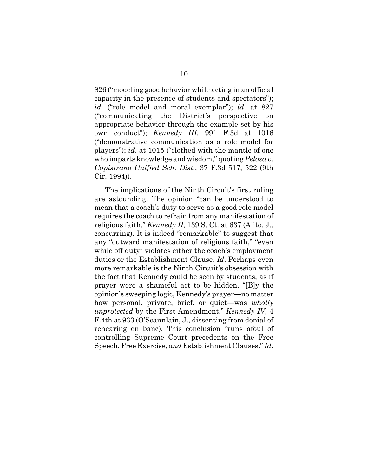826 ("modeling good behavior while acting in an official capacity in the presence of students and spectators"); *id*. ("role model and moral exemplar"); *id*. at 827 ("communicating the District's perspective on appropriate behavior through the example set by his own conduct"); *Kennedy III*, 991 F.3d at 1016 ("demonstrative communication as a role model for players"); *id*. at 1015 ("clothed with the mantle of one who imparts knowledge and wisdom," quoting *Peloza v. Capistrano Unified Sch. Dist.*, 37 F.3d 517, 522 (9th Cir. 1994)).

The implications of the Ninth Circuit's first ruling are astounding. The opinion "can be understood to mean that a coach's duty to serve as a good role model requires the coach to refrain from any manifestation of religious faith." *Kennedy II*, 139 S. Ct. at 637 (Alito, J., concurring). It is indeed "remarkable" to suggest that any "outward manifestation of religious faith," "even while off duty" violates either the coach's employment duties or the Establishment Clause. *Id*. Perhaps even more remarkable is the Ninth Circuit's obsession with the fact that Kennedy could be seen by students, as if prayer were a shameful act to be hidden. "[B]y the opinion's sweeping logic, Kennedy's prayer—no matter how personal, private, brief, or quiet—was *wholly unprotected* by the First Amendment." *Kennedy IV*, 4 F.4th at 933 (O'Scannlain, J., dissenting from denial of rehearing en banc). This conclusion "runs afoul of controlling Supreme Court precedents on the Free Speech, Free Exercise, *and* Establishment Clauses." *Id*.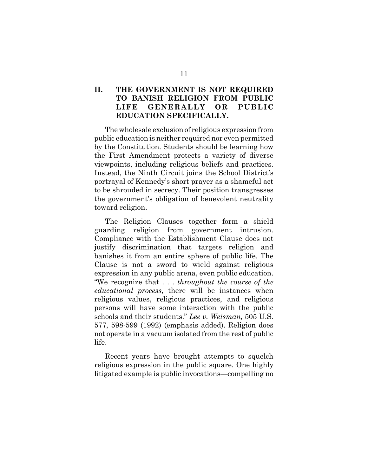# **II. THE GOVERNMENT IS NOT REQUIRED TO BANISH RELIGION FROM PUBLIC LIFE GENERALLY OR PUBLIC EDUCATION SPECIFICALLY.**

The wholesale exclusion of religious expression from public education is neither required nor even permitted by the Constitution. Students should be learning how the First Amendment protects a variety of diverse viewpoints, including religious beliefs and practices. Instead, the Ninth Circuit joins the School District's portrayal of Kennedy's short prayer as a shameful act to be shrouded in secrecy. Their position transgresses the government's obligation of benevolent neutrality toward religion.

The Religion Clauses together form a shield guarding religion from government intrusion. Compliance with the Establishment Clause does not justify discrimination that targets religion and banishes it from an entire sphere of public life. The Clause is not a sword to wield against religious expression in any public arena, even public education. "We recognize that . . . *throughout the course of the educational process*, there will be instances when religious values, religious practices, and religious persons will have some interaction with the public schools and their students." *Lee v. Weisman,* 505 U.S. 577, 598-599 (1992) (emphasis added). Religion does not operate in a vacuum isolated from the rest of public life.

Recent years have brought attempts to squelch religious expression in the public square. One highly litigated example is public invocations—compelling no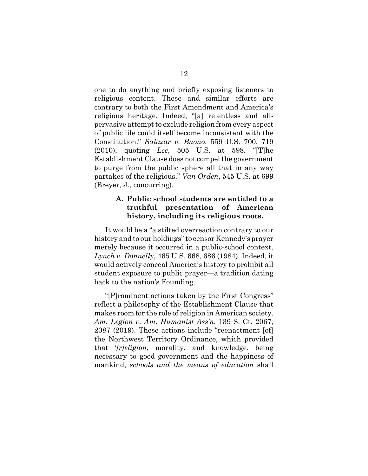one to do anything and briefly exposing listeners to religious content. These and similar efforts are contrary to both the First Amendment and America's religious heritage. Indeed, "[a] relentless and allpervasive attempt to exclude religion from every aspect of public life could itself become inconsistent with the Constitution." *Salazar v. Buono*, 559 U.S. 700, 719 (2010), quoting *Lee*, 505 U.S. at 598. "[T]he Establishment Clause does not compel the government to purge from the public sphere all that in any way partakes of the religious." *Van Orden*, 545 U.S. at 699 (Breyer, J., concurring).

# **A. Public school students are entitled to a truthful presentation of American history, including its religious roots.**

It would be a "a stilted overreaction contrary to our history and to our holdings" **t**o censor Kennedy's prayer merely because it occurred in a public-school context. *Lynch v. Donnelly*, 465 U.S. 668, 686 (1984). Indeed, it would actively conceal America's history to prohibit all student exposure to public prayer—a tradition dating back to the nation's Founding.

"[P]rominent actions taken by the First Congress" reflect a philosophy of the Establishment Clause that makes room for the role of religion in American society. *Am. Legion v. Am. Humanist Ass'n*, 139 S. Ct. 2067, 2087 (2019). These actions include "reenactment [of] the Northwest Territory Ordinance, which provided that '*[r]eligion*, morality, and knowledge, being necessary to good government and the happiness of mankind, *schools and the means of education* shall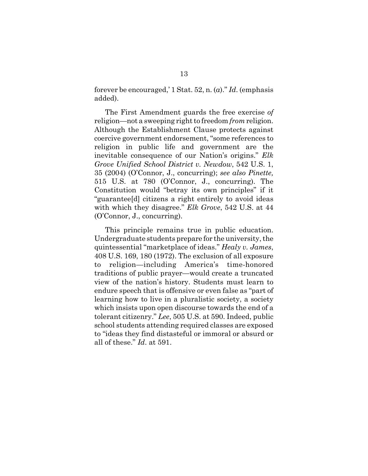forever be encouraged,' 1 Stat. 52, n. (*a*)." *Id*. (emphasis added).

The First Amendment guards the free exercise *of* religion—not a sweeping right to freedom *from* religion. Although the Establishment Clause protects against coercive government endorsement, "some references to religion in public life and government are the inevitable consequence of our Nation's origins." *Elk Grove Unified School District v. Newdow*, 542 U.S. 1, 35 (2004) (O'Connor, J., concurring); *see also Pinette,* 515 U.S. at 780 (O'Connor, J., concurring). The Constitution would "betray its own principles" if it "guarantee[d] citizens a right entirely to avoid ideas with which they disagree." *Elk Grove*, 542 U.S. at 44 (O'Connor, J., concurring).

This principle remains true in public education. Undergraduate students prepare for the university, the quintessential "marketplace of ideas." *Healy v. James*, 408 U.S. 169, 180 (1972). The exclusion of all exposure to religion—including America's time-honored traditions of public prayer—would create a truncated view of the nation's history. Students must learn to endure speech that is offensive or even false as "part of learning how to live in a pluralistic society, a society which insists upon open discourse towards the end of a tolerant citizenry." *Lee*, 505 U.S. at 590. Indeed, public school students attending required classes are exposed to "ideas they find distasteful or immoral or absurd or all of these." *Id*. at 591.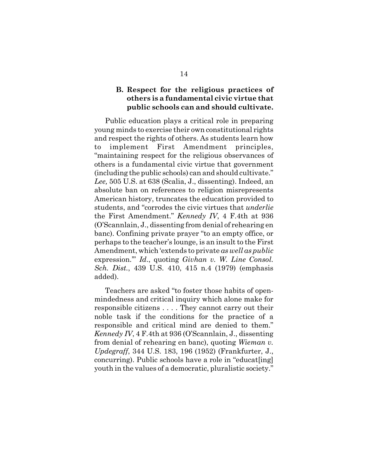## **B. Respect for the religious practices of others is a fundamental civic virtue that public schools can and should cultivate.**

Public education plays a critical role in preparing young minds to exercise their own constitutional rights and respect the rights of others. As students learn how to implement First Amendment principles, "maintaining respect for the religious observances of others is a fundamental civic virtue that government (including the public schools) can and should cultivate." *Lee,* 505 U.S. at 638 (Scalia, J., dissenting). Indeed, an absolute ban on references to religion misrepresents American history, truncates the education provided to students, and "corrodes the civic virtues that *underlie* the First Amendment." *Kennedy IV*, 4 F.4th at 936 (O'Scannlain, J., dissenting from denial of rehearing en banc). Confining private prayer "to an empty office, or perhaps to the teacher's lounge, is an insult to the First Amendment, which 'extends to private *as well as public* expression.'" *Id*., quoting *Givhan v. W. Line Consol. Sch. Dist.*, 439 U.S. 410, 415 n.4 (1979) (emphasis added).

Teachers are asked "to foster those habits of openmindedness and critical inquiry which alone make for responsible citizens . . . . They cannot carry out their noble task if the conditions for the practice of a responsible and critical mind are denied to them." *Kennedy IV*, 4 F.4th at 936 (O'Scannlain, J., dissenting from denial of rehearing en banc), quoting *Wieman v. Updegraff*, 344 U.S. 183, 196 (1952) (Frankfurter, J., concurring). Public schools have a role in "educat[ing] youth in the values of a democratic, pluralistic society."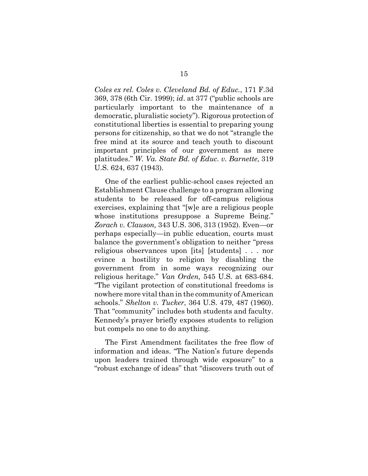*Coles ex rel. Coles v. Cleveland Bd. of Educ.*, 171 F.3d 369, 378 (6th Cir. 1999); *id*. at 377 ("public schools are particularly important to the maintenance of a democratic, pluralistic society"). Rigorous protection of constitutional liberties is essential to preparing young persons for citizenship, so that we do not "strangle the free mind at its source and teach youth to discount important principles of our government as mere platitudes." *W. Va. State Bd. of Educ. v. Barnette*, 319 U.S. 624, 637 (1943).

One of the earliest public-school cases rejected an Establishment Clause challenge to a program allowing students to be released for off-campus religious exercises, explaining that "[w]e are a religious people whose institutions presuppose a Supreme Being." *Zorach v. Clauson,* 343 U.S. 306, 313 (1952). Even—or perhaps especially—in public education, courts must balance the government's obligation to neither "press religious observances upon [its] [students] . . . nor evince a hostility to religion by disabling the government from in some ways recognizing our religious heritage." *Van Orden,* 545 U.S. at 683-684. "The vigilant protection of constitutional freedoms is nowhere more vital than in the community of American schools." *Shelton v. Tucker*, 364 U.S. 479, 487 (1960). That "community" includes both students and faculty. Kennedy's prayer briefly exposes students to religion but compels no one to do anything.

The First Amendment facilitates the free flow of information and ideas. "The Nation's future depends upon leaders trained through wide exposure" to a "robust exchange of ideas" that "discovers truth out of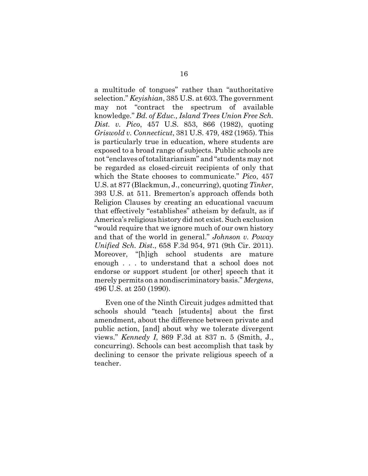a multitude of tongues" rather than "authoritative selection." *Keyishian*, 385 U.S. at 603. The government may not "contract the spectrum of available knowledge." *Bd. of Educ., Island Trees Union Free Sch. Dist. v. Pico*, 457 U.S. 853, 866 (1982), quoting *Griswold v. Connecticut*, 381 U.S. 479, 482 (1965). This is particularly true in education, where students are exposed to a broad range of subjects. Public schools are not "enclaves of totalitarianism" and "students may not be regarded as closed-circuit recipients of only that which the State chooses to communicate." *Pico*, 457 U.S. at 877 (Blackmun, J., concurring), quoting *Tinker*, 393 U.S. at 511. Bremerton's approach offends both Religion Clauses by creating an educational vacuum that effectively "establishes" atheism by default, as if America's religious history did not exist. Such exclusion "would require that we ignore much of our own history and that of the world in general." *Johnson v. Poway Unified Sch. Dist*., 658 F.3d 954, 971 (9th Cir. 2011). Moreover, "[h]igh school students are mature enough . . . to understand that a school does not endorse or support student [or other] speech that it merely permits on a nondiscriminatory basis." *Mergens*, 496 U.S. at 250 (1990).

Even one of the Ninth Circuit judges admitted that schools should "teach [students] about the first amendment, about the difference between private and public action, [and] about why we tolerate divergent views." *Kennedy I*, 869 F.3d at 837 n. 5 (Smith, J., concurring). Schools can best accomplish that task by declining to censor the private religious speech of a teacher.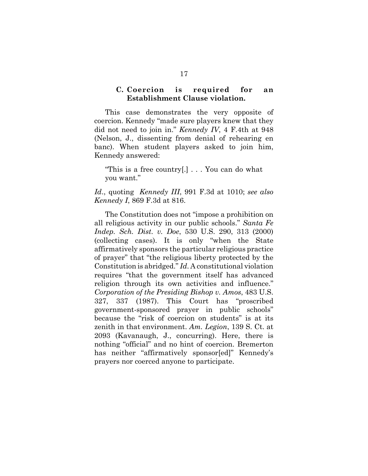#### **C. Coercion is required for an Establishment Clause violation.**

This case demonstrates the very opposite of coercion. Kennedy "made sure players knew that they did not need to join in." *Kennedy IV*, 4 F.4th at 948 (Nelson, J., dissenting from denial of rehearing en banc). When student players asked to join him, Kennedy answered:

"This is a free country[.] . . . You can do what you want."

*Id*., quoting *Kennedy III*, 991 F.3d at 1010; *see also Kennedy I*, 869 F.3d at 816.

The Constitution does not "impose a prohibition on all religious activity in our public schools." *Santa Fe Indep. Sch. Dist. v. Doe*, 530 U.S. 290, 313 (2000) (collecting cases). It is only "when the State affirmatively sponsors the particular religious practice of prayer" that "the religious liberty protected by the Constitution is abridged." *Id*. A constitutional violation requires "that the government itself has advanced religion through its own activities and influence." *Corporation of the Presiding Bishop v. Amos*, 483 U.S. 327, 337 (1987). This Court has "proscribed government-sponsored prayer in public schools" because the "risk of coercion on students" is at its zenith in that environment. *Am. Legion*, 139 S. Ct. at 2093 (Kavanaugh, J., concurring). Here, there is nothing "official" and no hint of coercion. Bremerton has neither "affirmatively sponsor[ed]" Kennedy's prayers nor coerced anyone to participate.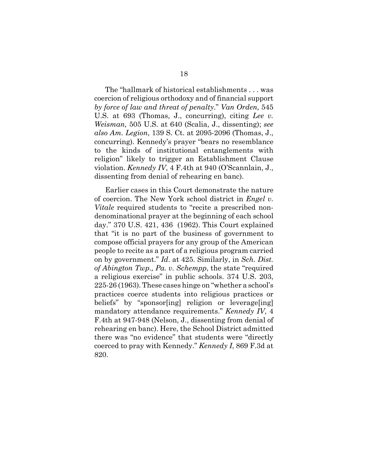The "hallmark of historical establishments . . . was coercion of religious orthodoxy and of financial support *by force of law and threat of penalty*." *Van Orden,* 545 U.S. at 693 (Thomas, J., concurring), citing *Lee v. Weisman,* 505 U.S. at 640 (Scalia, J., dissenting); *see also Am. Legion*, 139 S. Ct. at 2095-2096 (Thomas, J., concurring). Kennedy's prayer "bears no resemblance to the kinds of institutional entanglements with religion" likely to trigger an Establishment Clause violation. *Kennedy IV*, 4 F.4th at 940 (O'Scannlain, J., dissenting from denial of rehearing en banc).

Earlier cases in this Court demonstrate the nature of coercion. The New York school district in *Engel v. Vitale* required students to "recite a prescribed nondenominational prayer at the beginning of each school day." 370 U.S. 421, 436 (1962). This Court explained that "it is no part of the business of government to compose official prayers for any group of the American people to recite as a part of a religious program carried on by government." *Id*. at 425. Similarly, in *Sch. Dist. of Abington Twp., Pa. v. Schempp*, the state "required a religious exercise" in public schools. 374 U.S. 203, 225-26 (1963). These cases hinge on "whether a school's practices coerce students into religious practices or beliefs" by "sponsor[ing] religion or leverage[ing] mandatory attendance requirements." *Kennedy IV*, 4 F.4th at 947-948 (Nelson, J., dissenting from denial of rehearing en banc). Here, the School District admitted there was "no evidence" that students were "directly coerced to pray with Kennedy." *Kennedy I*, 869 F.3d at 820.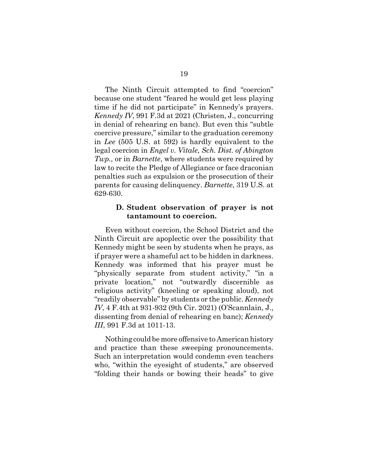The Ninth Circuit attempted to find "coercion" because one student "feared he would get less playing time if he did not participate" in Kennedy's prayers. *Kennedy IV*, 991 F.3d at 2021 (Christen, J., concurring in denial of rehearing en banc). But even this "subtle coercive pressure," similar to the graduation ceremony in *Lee* (505 U.S. at 592) is hardly equivalent to the legal coercion in *Engel v. Vitale, Sch. Dist. of Abington Twp.,* or in *Barnette*, where students were required by law to recite the Pledge of Allegiance or face draconian penalties such as expulsion or the prosecution of their parents for causing delinquency. *Barnette*, 319 U.S. at 629-630.

#### **D. Student observation of prayer is not tantamount to coercion.**

Even without coercion, the School District and the Ninth Circuit are apoplectic over the possibility that Kennedy might be seen by students when he prays, as if prayer were a shameful act to be hidden in darkness. Kennedy was informed that his prayer must be "physically separate from student activity," "in a private location," not "outwardly discernible as religious activity" (kneeling or speaking aloud), not "readily observable" by students or the public. *Kennedy IV*, 4 F.4th at 931-932 (9th Cir. 2021) (O'Scannlain, J., dissenting from denial of rehearing en banc); *Kennedy III*, 991 F.3d at 1011-13.

Nothing could be more offensive to American history and practice than these sweeping pronouncements. Such an interpretation would condemn even teachers who, "within the eyesight of students," are observed "folding their hands or bowing their heads" to give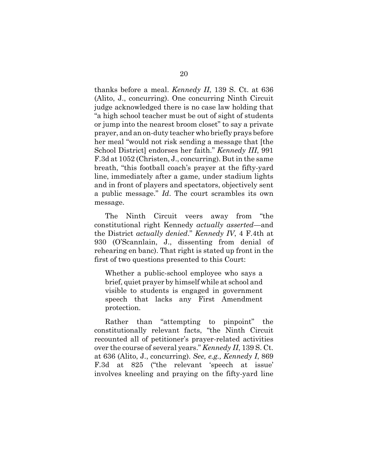thanks before a meal. *Kennedy II*, 139 S. Ct. at 636 (Alito, J., concurring). One concurring Ninth Circuit judge acknowledged there is no case law holding that "a high school teacher must be out of sight of students or jump into the nearest broom closet" to say a private prayer, and an on-duty teacher who briefly prays before her meal "would not risk sending a message that [the School District] endorses her faith." *Kennedy III*, 991 F.3d at 1052 (Christen, J., concurring). But in the same breath, "this football coach's prayer at the fifty-yard line, immediately after a game, under stadium lights and in front of players and spectators, objectively sent a public message." *Id*. The court scrambles its own message.

The Ninth Circuit veers away from "the constitutional right Kennedy *actually asserted*—and the District *actually denied*." *Kennedy IV*, 4 F.4th at 930 (O'Scannlain, J., dissenting from denial of rehearing en banc). That right is stated up front in the first of two questions presented to this Court:

Whether a public-school employee who says a brief, quiet prayer by himself while at school and visible to students is engaged in government speech that lacks any First Amendment protection.

Rather than "attempting to pinpoint" the constitutionally relevant facts, "the Ninth Circuit recounted all of petitioner's prayer-related activities over the course of several years." *Kennedy II*, 139 S. Ct. at 636 (Alito, J., concurring). *See, e.g., Kennedy I*, 869 F.3d at 825 ("the relevant 'speech at issue' involves kneeling and praying on the fifty-yard line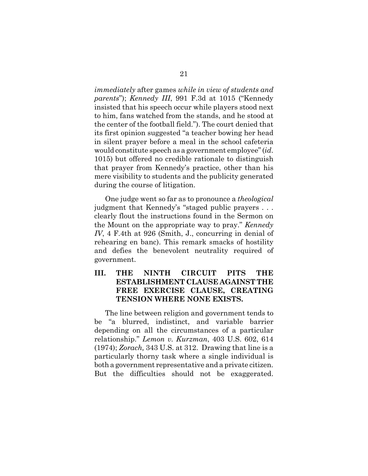*immediately* after games *while in view of students and parents*"); *Kennedy III*, 991 F.3d at 1015 ("Kennedy insisted that his speech occur while players stood next to him, fans watched from the stands, and he stood at the center of the football field."). The court denied that its first opinion suggested "a teacher bowing her head in silent prayer before a meal in the school cafeteria would constitute speech as a government employee" (*id*. 1015) but offered no credible rationale to distinguish that prayer from Kennedy's practice, other than his mere visibility to students and the publicity generated during the course of litigation.

One judge went so far as to pronounce a *theological* judgment that Kennedy's "staged public prayers . . . clearly flout the instructions found in the Sermon on the Mount on the appropriate way to pray." *Kennedy IV*, 4 F.4th at 926 (Smith, J., concurring in denial of rehearing en banc). This remark smacks of hostility and defies the benevolent neutrality required of government.

# **III. THE NINTH CIRCUIT PITS THE ESTABLISHMENT CLAUSE AGAINST THE FREE EXERCISE CLAUSE, CREATING TENSION WHERE NONE EXISTS.**

The line between religion and government tends to be "a blurred, indistinct, and variable barrier depending on all the circumstances of a particular relationship." *Lemon v. Kurzman*, 403 U.S. 602, 614 (1974); *Zorach,* 343 U.S. at 312. Drawing that line is a particularly thorny task where a single individual is both a government representative and a private citizen. But the difficulties should not be exaggerated.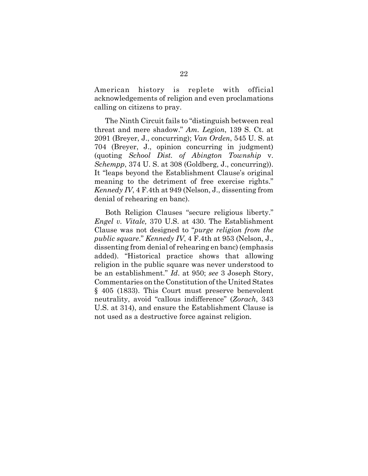American history is replete with official acknowledgements of religion and even proclamations calling on citizens to pray.

The Ninth Circuit fails to "distinguish between real threat and mere shadow." *Am. Legion*, 139 S. Ct. at 2091 (Breyer, J., concurring); *Van Orden*, 545 U. S. at 704 (Breyer, J., opinion concurring in judgment) (quoting *School Dist. of Abington Township* v. *Schempp*, 374 U. S. at 308 (Goldberg, J., concurring)). It "leaps beyond the Establishment Clause's original meaning to the detriment of free exercise rights." *Kennedy IV*, 4 F.4th at 949 (Nelson, J., dissenting from denial of rehearing en banc).

Both Religion Clauses "secure religious liberty." *Engel v. Vitale,* 370 U.S. at 430. The Establishment Clause was not designed to "*purge religion from the public square*." *Kennedy IV*, 4 F.4th at 953 (Nelson, J., dissenting from denial of rehearing en banc) (emphasis added). "Historical practice shows that allowing religion in the public square was never understood to be an establishment." *Id*. at 950; *see* 3 Joseph Story, Commentaries on the Constitution of the United States § 405 (1833). This Court must preserve benevolent neutrality, avoid "callous indifference" (*Zorach*, 343 U.S. at 314), and ensure the Establishment Clause is not used as a destructive force against religion.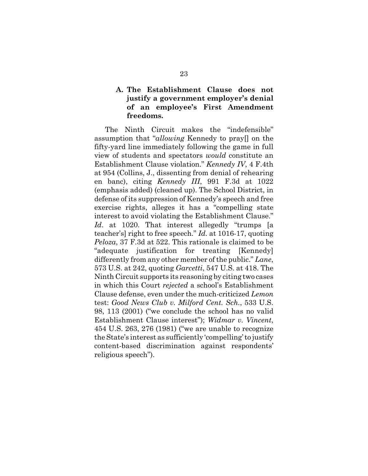# **A. The Establishment Clause does not justify a government employer's denial of an employee's First Amendment freedoms.**

The Ninth Circuit makes the "indefensible" assumption that "*allowing* Kennedy to pray[] on the fifty-yard line immediately following the game in full view of students and spectators *would* constitute an Establishment Clause violation." *Kennedy IV*, 4 F.4th at 954 (Collins, J., dissenting from denial of rehearing en banc), citing *Kennedy III*, 991 F.3d at 1022 (emphasis added) (cleaned up). The School District, in defense of its suppression of Kennedy's speech and free exercise rights, alleges it has a "compelling state interest to avoid violating the Establishment Clause." Id. at 1020. That interest allegedly "trumps [a teacher's] right to free speech." *Id.* at 1016-17, quoting *Peloza*, 37 F.3d at 522. This rationale is claimed to be "adequate justification for treating [Kennedy] differently from any other member of the public." *Lane*, 573 U.S. at 242, quoting *Garcetti*, 547 U.S. at 418. The Ninth Circuit supports its reasoning by citing two cases in which this Court *rejected* a school's Establishment Clause defense, even under the much-criticized *Lemon* test: *Good News Club v. Milford Cent. Sch.*, 533 U.S. 98, 113 (2001) ("we conclude the school has no valid Establishment Clause interest"); *Widmar v. Vincent*, 454 U.S. 263, 276 (1981) ("we are unable to recognize the State's interest as sufficiently 'compelling' to justify content-based discrimination against respondents' religious speech").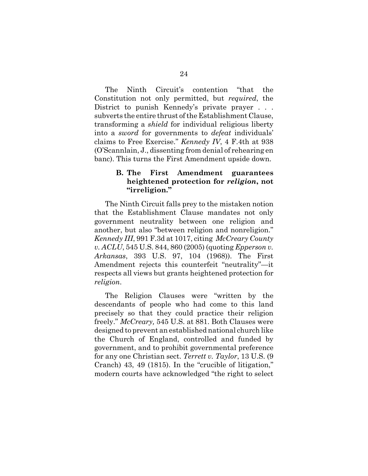The Ninth Circuit's contention "that the Constitution not only permitted, but *required*, the District to punish Kennedy's private prayer . . . subverts the entire thrust of the Establishment Clause, transforming a *shield* for individual religious liberty into a *sword* for governments to *defeat* individuals' claims to Free Exercise." *Kennedy IV*, 4 F.4th at 938 (O'Scannlain, J., dissenting from denial of rehearing en banc). This turns the First Amendment upside down.

## **B. The First Amendment guarantees heightened protection for** *religion***, not "irreligion."**

The Ninth Circuit falls prey to the mistaken notion that the Establishment Clause mandates not only government neutrality between one religion and another, but also "between religion and nonreligion." *Kennedy III*, 991 F.3d at 1017, citing *McCreary County v. ACLU*, 545 U.S. 844, 860 (2005) (quoting *Epperson v. Arkansas*, 393 U.S. 97, 104 (1968)). The First Amendment rejects this counterfeit "neutrality"—it respects all views but grants heightened protection for *religion*.

The Religion Clauses were "written by the descendants of people who had come to this land precisely so that they could practice their religion freely." *McCreary,* 545 U.S. at 881. Both Clauses were designed to prevent an established national church like the Church of England, controlled and funded by government, and to prohibit governmental preference for any one Christian sect. *Terrett v. Taylor*, 13 U.S. (9 Cranch) 43, 49 (1815). In the "crucible of litigation," modern courts have acknowledged "the right to select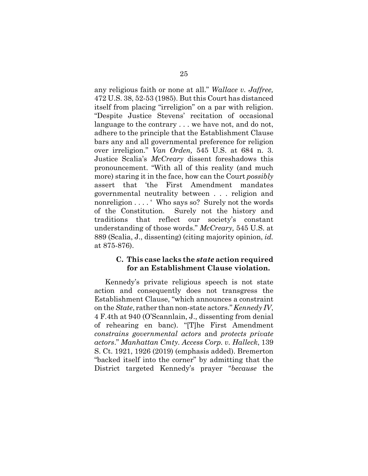any religious faith or none at all." *Wallace v. Jaffree,* 472 U.S. 38, 52-53 (1985). But this Court has distanced itself from placing "irreligion" on a par with religion. "Despite Justice Stevens' recitation of occasional language to the contrary . . . we have not, and do not, adhere to the principle that the Establishment Clause bars any and all governmental preference for religion over irreligion." *Van Orden,* 545 U.S. at 684 n. 3. Justice Scalia's *McCreary* dissent foreshadows this pronouncement. "With all of this reality (and much more) staring it in the face, how can the Court *possibly* assert that 'the First Amendment mandates governmental neutrality between . . . religion and nonreligion . . . . ' Who says so? Surely not the words of the Constitution. Surely not the history and traditions that reflect our society's constant understanding of those words." *McCreary,* 545 U.S. at 889 (Scalia, J., dissenting) (citing majority opinion, *id.* at 875-876).

### **C. This case lacks the** *state* **action required for an Establishment Clause violation.**

Kennedy's private religious speech is not state action and consequently does not transgress the Establishment Clause, "which announces a constraint on the *State*, rather than non-state actors." *Kennedy IV*, 4 F.4th at 940 (O'Scannlain, J., dissenting from denial of rehearing en banc). "[T]he First Amendment *constrains governmental actors* and *protects private actors*." *Manhattan Cmty. Access Corp. v. Halleck*, 139 S. Ct. 1921, 1926 (2019) (emphasis added). Bremerton "backed itself into the corner" by admitting that the District targeted Kennedy's prayer "*because* the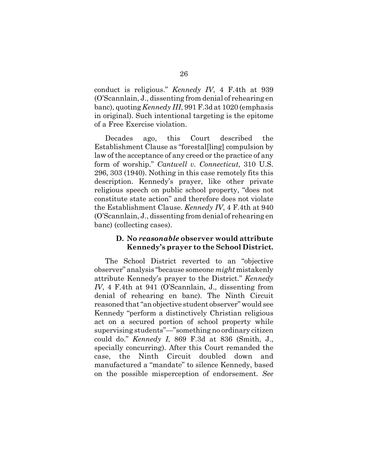conduct is religious." *Kennedy IV*, 4 F.4th at 939 (O'Scannlain, J., dissenting from denial of rehearing en banc), quoting *Kennedy III*, 991 F.3d at 1020 (emphasis in original). Such intentional targeting is the epitome of a Free Exercise violation.

Decades ago, this Court described the Establishment Clause as "forestal[ling] compulsion by law of the acceptance of any creed or the practice of any form of worship." *Cantwell v. Connecticut*, 310 U.S. 296, 303 (1940). Nothing in this case remotely fits this description. Kennedy's prayer, like other private religious speech on public school property, "does not constitute state action" and therefore does not violate the Establishment Clause. *Kennedy IV*, 4 F.4th at 940 (O'Scannlain, J., dissenting from denial of rehearing en banc) (collecting cases).

### **D. No** *reasonable* **observer would attribute Kennedy's prayer to the School District.**

The School District reverted to an "objective observer" analysis "because someone *might* mistakenly attribute Kennedy's prayer to the District." *Kennedy IV*, 4 F.4th at 941 (O'Scannlain, J., dissenting from denial of rehearing en banc). The Ninth Circuit reasoned that "an objective student observer" would see Kennedy "perform a distinctively Christian religious act on a secured portion of school property while supervising students"—"something no ordinary citizen could do." *Kennedy I*, 869 F.3d at 836 (Smith, J., specially concurring). After this Court remanded the case, the Ninth Circuit doubled down and manufactured a "mandate" to silence Kennedy, based on the possible misperception of endorsement. *See*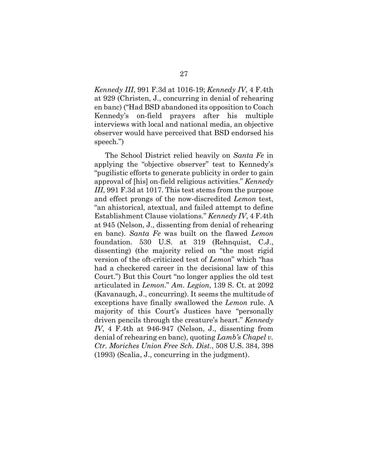*Kennedy III*, 991 F.3d at 1016-19; *Kennedy IV*, 4 F.4th at 929 (Christen, J., concurring in denial of rehearing en banc) ("Had BSD abandoned its opposition to Coach Kennedy's on-field prayers after his multiple interviews with local and national media, an objective observer would have perceived that BSD endorsed his speech.")

The School District relied heavily on *Santa Fe* in applying the "objective observer" test to Kennedy's "pugilistic efforts to generate publicity in order to gain approval of [his] on-field religious activities." *Kennedy III*, 991 F.3d at 1017. This test stems from the purpose and effect prongs of the now-discredited *Lemon* test, "an ahistorical, atextual, and failed attempt to define Establishment Clause violations." *Kennedy IV*, 4 F.4th at 945 (Nelson, J., dissenting from denial of rehearing en banc). *Santa Fe* was built on the flawed *Lemon* foundation. 530 U.S. at 319 (Rehnquist, C.J., dissenting) (the majority relied on "the most rigid version of the oft-criticized test of *Lemon*" which "has had a checkered career in the decisional law of this Court.") But this Court "no longer applies the old test articulated in *Lemon*." *Am. Legion*, 139 S. Ct. at 2092 (Kavanaugh, J., concurring). It seems the multitude of exceptions have finally swallowed the *Lemon* rule. A majority of this Court's Justices have "personally driven pencils through the creature's heart." *Kennedy IV*, 4 F.4th at 946-947 (Nelson, J., dissenting from denial of rehearing en banc), quoting *Lamb's Chapel v. Ctr. Moriches Union Free Sch. Dist.*, 508 U.S. 384, 398 (1993) (Scalia, J., concurring in the judgment).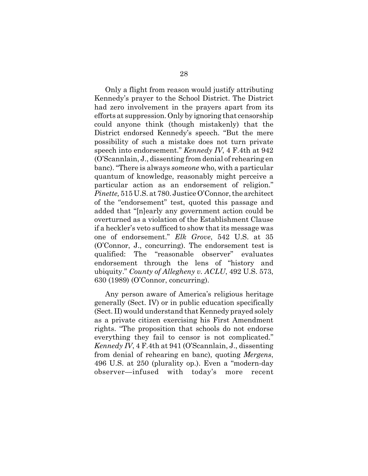Only a flight from reason would justify attributing Kennedy's prayer to the School District. The District had zero involvement in the prayers apart from its efforts at suppression. Only by ignoring that censorship could anyone think (though mistakenly) that the District endorsed Kennedy's speech. "But the mere possibility of such a mistake does not turn private speech into endorsement." *Kennedy IV*, 4 F.4th at 942 (O'Scannlain, J., dissenting from denial of rehearing en banc). "There is always *someone* who, with a particular quantum of knowledge, reasonably might perceive a particular action as an endorsement of religion." *Pinette,* 515 U.S. at 780. Justice O'Connor, the architect of the "endorsement" test, quoted this passage and added that "[n]early any government action could be overturned as a violation of the Establishment Clause if a heckler's veto sufficed to show that its message was one of endorsement." *Elk Grove*, 542 U.S. at 35 (O'Connor, J., concurring). The endorsement test is qualified: The "reasonable observer" evaluates endorsement through the lens of "history and ubiquity." *County of Allegheny v. ACLU*, 492 U.S. 573, 630 (1989) (O'Connor, concurring).

Any person aware of America's religious heritage generally (Sect. IV) or in public education specifically (Sect. II) would understand that Kennedy prayed solely as a private citizen exercising his First Amendment rights. "The proposition that schools do not endorse everything they fail to censor is not complicated." *Kennedy IV*, 4 F.4th at 941 (O'Scannlain, J., dissenting from denial of rehearing en banc), quoting *Mergens*, 496 U.S. at 250 (plurality op.). Even a "modern-day observer—infused with today's more recent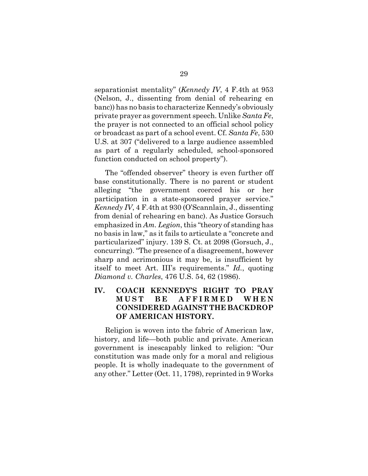separationist mentality" (*Kennedy IV*, 4 F.4th at 953 (Nelson, J., dissenting from denial of rehearing en banc)) has no basis to characterize Kennedy's obviously private prayer as government speech. Unlike *Santa Fe*, the prayer is not connected to an official school policy or broadcast as part of a school event. Cf. *Santa Fe*, 530 U.S. at 307 ("delivered to a large audience assembled as part of a regularly scheduled, school-sponsored function conducted on school property").

The "offended observer" theory is even further off base constitutionally. There is no parent or student alleging "the government coerced his or her participation in a state-sponsored prayer service." *Kennedy IV*, 4 F.4th at 930 (O'Scannlain, J., dissenting from denial of rehearing en banc). As Justice Gorsuch emphasized in *Am. Legion*, this "theory of standing has no basis in law," as it fails to articulate a "concrete and particularized" injury. 139 S. Ct. at 2098 (Gorsuch, J., concurring). "The presence of a disagreement, however sharp and acrimonious it may be, is insufficient by itself to meet Art. III's requirements." *Id.*, quoting *Diamond v. Charles*, 476 U.S. 54, 62 (1986).

# **IV. COACH KENNEDY'S RIGHT TO PRAY MUST BE AFFIRMED WHEN CONSIDERED AGAINST THE BACKDROP OF AMERICAN HISTORY.**

Religion is woven into the fabric of American law, history, and life—both public and private. American government is inescapably linked to religion: "Our constitution was made only for a moral and religious people. It is wholly inadequate to the government of any other." Letter (Oct. 11, 1798), reprinted in 9 Works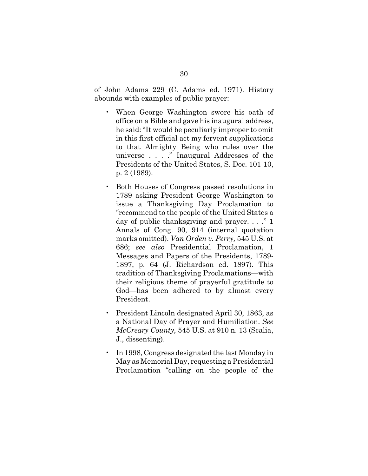of John Adams 229 (C. Adams ed. 1971). History abounds with examples of public prayer:

- When George Washington swore his oath of office on a Bible and gave his inaugural address, he said: "It would be peculiarly improper to omit in this first official act my fervent supplications to that Almighty Being who rules over the universe . . . ." Inaugural Addresses of the Presidents of the United States, S. Doc. 101-10, p. 2 (1989).
- Both Houses of Congress passed resolutions in 1789 asking President George Washington to issue a Thanksgiving Day Proclamation to "recommend to the people of the United States a day of public thanksgiving and prayer. . . ." 1 Annals of Cong. 90, 914 (internal quotation marks omitted). *Van Orden v. Perry,* 545 U.S. at 686; *see also* Presidential Proclamation, 1 Messages and Papers of the Presidents, 1789- 1897, p. 64 (J. Richardson ed. 1897). This tradition of Thanksgiving Proclamations—with their religious theme of prayerful gratitude to God—has been adhered to by almost every President.
- President Lincoln designated April 30, 1863, as a National Day of Prayer and Humiliation. *See McCreary County,* 545 U.S. at 910 n. 13 (Scalia, J., dissenting).
- In 1998, Congress designated the last Monday in May as Memorial Day, requesting a Presidential Proclamation "calling on the people of the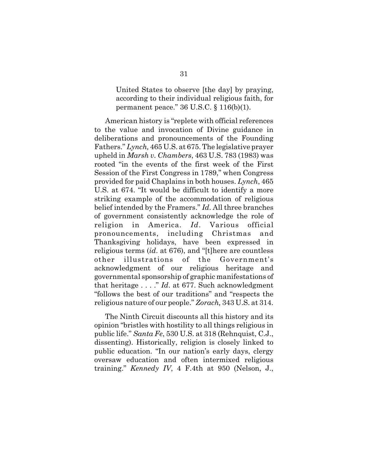United States to observe [the day] by praying, according to their individual religious faith, for permanent peace." 36 U.S.C. § 116(b)(1).

American history is "replete with official references to the value and invocation of Divine guidance in deliberations and pronouncements of the Founding Fathers." *Lynch,* 465 U.S. at 675. The legislative prayer upheld in *Marsh v. Chambers*, 463 U.S. 783 (1983) was rooted "in the events of the first week of the First Session of the First Congress in 1789," when Congress provided for paid Chaplains in both houses. *Lynch*, 465 U.S. at 674. "It would be difficult to identify a more striking example of the accommodation of religious belief intended by the Framers." *Id*. All three branches of government consistently acknowledge the role of religion in America. *Id*. Various official pronouncements, including Christmas and Thanksgiving holidays, have been expressed in religious terms (*id*. at 676), and "[t]here are countless other illustrations of the Government's acknowledgment of our religious heritage and governmental sponsorship of graphic manifestations of that heritage . . . ." *Id*. at 677. Such acknowledgment "follows the best of our traditions" and "respects the religious nature of our people." *Zorach,* 343 U.S. at 314.

The Ninth Circuit discounts all this history and its opinion "bristles with hostility to all things religious in public life." *Santa Fe*, 530 U.S. at 318 (Rehnquist, C.J., dissenting). Historically, religion is closely linked to public education. "In our nation's early days, clergy oversaw education and often intermixed religious training." *Kennedy IV*, 4 F.4th at 950 (Nelson, J.,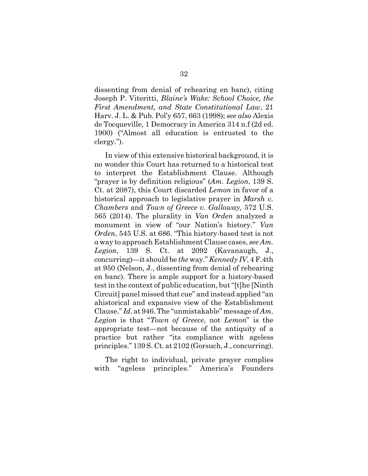dissenting from denial of rehearing en banc), citing Joseph P. Viteritti, *Blaine's Wake: School Choice, the First Amendment, and State Constitutional Law*, 21 Harv. J. L. & Pub. Pol'y 657, 663 (1998); *see also* Alexis de Tocqueville, 1 Democracy in America 314 n.f (2d ed. 1900) ("Almost all education is entrusted to the clergy.").

In view of this extensive historical background, it is no wonder this Court has returned to a historical test to interpret the Establishment Clause. Although "prayer is by definition religious" (*Am. Legion*, 139 S. Ct. at 2087), this Court discarded *Lemon* in favor of a historical approach to legislative prayer in *Marsh v. Chambers* and *Town of Greece v. Galloway*, 572 U.S. 565 (2014). The plurality in *Van Orden* analyzed a monument in view of "our Nation's history." *Van Orden*, 545 U.S. at 686. "This history-based test is not *a* way to approach Establishment Clause cases, *see Am. Legion*, 139 S. Ct. at 2092 (Kavanaugh, J., concurring)—it should be *the* way." *Kennedy IV*, 4 F.4th at 950 (Nelson, J., dissenting from denial of rehearing en banc). There is ample support for a history-based test in the context of public education, but "[t]he [Ninth Circuit] panel missed that cue" and instead applied "an ahistorical and expansive view of the Establishment Clause." *Id*. at 946. The "unmistakable" message of *Am. Legion* is that "*Town of Greece*, not *Lemon*" is the appropriate test—not because of the antiquity of a practice but rather "its compliance with ageless principles." 139 S. Ct. at 2102 (Gorsuch, J., concurring).

The right to individual, private prayer complies with "ageless principles." America's Founders